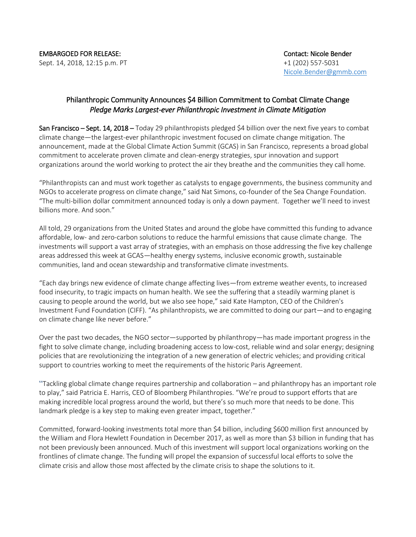## Philanthropic Community Announces \$4 Billion Commitment to Combat Climate Change *Pledge Marks Largest-ever Philanthropic Investment in Climate Mitigation*

San Francisco – Sept. 14, 2018 – Today 29 philanthropists pledged \$4 billion over the next five years to combat climate change—the largest-ever philanthropic investment focused on climate change mitigation. The announcement, made at the Global Climate Action Summit (GCAS) in San Francisco, represents a broad global commitment to accelerate proven climate and clean-energy strategies, spur innovation and support organizations around the world working to protect the air they breathe and the communities they call home.

"Philanthropists can and must work together as catalysts to engage governments, the business community and NGOs to accelerate progress on climate change," said Nat Simons, co-founder of the Sea Change Foundation. "The multi-billion dollar commitment announced today is only a down payment. Together we'll need to invest billions more. And soon."

All told, 29 organizations from the United States and around the globe have committed this funding to advance affordable, low- and zero-carbon solutions to reduce the harmful emissions that cause climate change. The investments will support a vast array of strategies, with an emphasis on those addressing the five key challenge areas addressed this week at GCAS—healthy energy systems, inclusive economic growth, sustainable communities, land and ocean stewardship and transformative climate investments.

"Each day brings new evidence of climate change affecting lives—from extreme weather events, to increased food insecurity, to tragic impacts on human health. We see the suffering that a steadily warming planet is causing to people around the world, but we also see hope," said Kate Hampton, CEO of the Children's Investment Fund Foundation (CIFF). "As philanthropists, we are committed to doing our part—and to engaging on climate change like never before."

Over the past two decades, the NGO sector—supported by philanthropy—has made important progress in the fight to solve climate change, including broadening access to low-cost, reliable wind and solar energy; designing policies that are revolutionizing the integration of a new generation of electric vehicles; and providing critical support to countries working to meet the requirements of the historic Paris Agreement.

"Tackling global climate change requires partnership and collaboration – and philanthropy has an important role to play," said Patricia E. Harris, CEO of Bloomberg Philanthropies. "We're proud to support efforts that are making incredible local progress around the world, but there's so much more that needs to be done. This landmark pledge is a key step to making even greater impact, together."

Committed, forward-looking investments total more than \$4 billion, including \$600 million first announced by the William and Flora Hewlett Foundation in December 2017, as well as more than \$3 billion in funding that has not been previously been announced. Much of this investment will support local organizations working on the frontlines of climate change. The funding will propel the expansion of successful local efforts to solve the climate crisis and allow those most affected by the climate crisis to shape the solutions to it.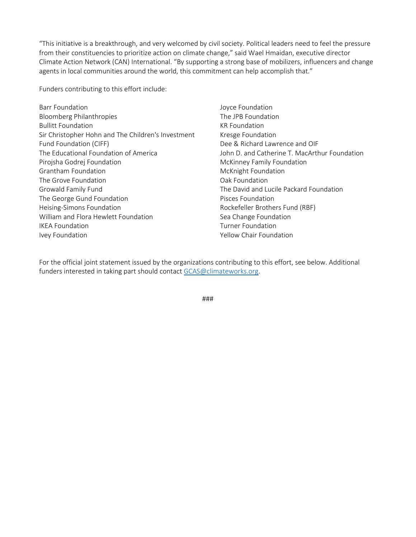"This initiative is a breakthrough, and very welcomed by civil society. Political leaders need to feel the pressure from their constituencies to prioritize action on climate change," said Wael Hmaidan, executive director Climate Action Network (CAN) International. "By supporting a strong base of mobilizers, influencers and change agents in local communities around the world, this commitment can help accomplish that."

Funders contributing to this effort include:

| <b>Barr Foundation</b>                             |
|----------------------------------------------------|
| <b>Bloomberg Philanthropies</b>                    |
| <b>Bullitt Foundation</b>                          |
| Sir Christopher Hohn and The Children's Investment |
| Fund Foundation (CIFF)                             |
| The Educational Foundation of America              |
| Pirojsha Godrej Foundation                         |
| Grantham Foundation                                |
| The Grove Foundation                               |
| Growald Family Fund                                |
| The George Gund Foundation                         |
| Heising-Simons Foundation                          |
| William and Flora Hewlett Foundation               |
| <b>IKEA Foundation</b>                             |
| Ivey Foundation                                    |

Joyce Foundation The JPB Foundation KR Foundation Kresge Foundation Dee & Richard Lawrence and OIF John D. and Catherine T. MacArthur Foundation McKinney Family Foundation McKnight Foundation Oak Foundation The David and Lucile Packard Foundation Pisces Foundation Rockefeller Brothers Fund (RBF) Sea Change Foundation Turner Foundation Yellow Chair Foundation

For the official joint statement issued by the organizations contributing to this effort, see below. Additional funders interested in taking part should contact [GCAS@climateworks.org.](mailto:GCAS@climateworks.org)

###